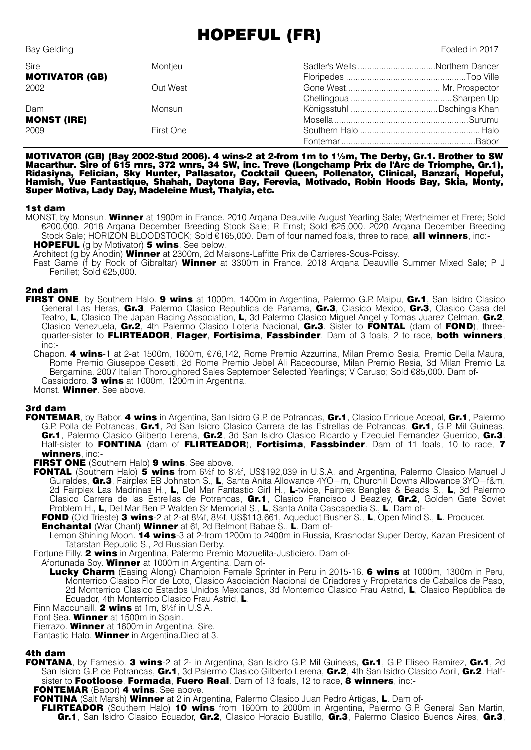# HOPEFUL (FR)

| Sire                  | Montjeu   | Sadler's Wells Northern Dancer |  |
|-----------------------|-----------|--------------------------------|--|
| <b>MOTIVATOR (GB)</b> |           |                                |  |
| 2002                  | Out West  |                                |  |
|                       |           |                                |  |
| Dam                   | Monsun    |                                |  |
| <b>MONST (IRE)</b>    |           |                                |  |
| 2009                  | First One |                                |  |
|                       |           |                                |  |

MOTIVATOR (GB) (Bay 2002-Stud 2006). 4 wins-2 at 2-from 1m to 1½m, The Derby, Gr.1. Brother to SW Macarthur. Sire of 615 rnrs, 372 wnrs, 34 SW, inc. Treve (Longchamp Prix de l'Arc de Triomphe, Gr.1), Ridasiyna, Felician, Sky Hunter, Pallasator, Cocktail Queen, Pollenator, Clinical, Banzari, Hopeful, Hamish, Vue Fantastique, Shahah, Daytona Bay, Ferevia, Motivado, Robin Hoods Bay, Skia, Monty, Super Motiva, Lady Day, Madeleine Must, Thalyia, etc.

#### 1st dam

MONST, by Monsun. Winner at 1900m in France. 2010 Arqana Deauville August Yearling Sale; Wertheimer et Frere; Sold €200,000. 2018 Arqana December Breeding Stock Sale; R Ernst; Sold €25,000. 2020 Arqana December Breeding Stock Sale; HORIZON BLOODSTOCK; Sold €165,000. Dam of four named foals, three to race, **all winners**, inc:-**HOPEFUL** (g by Motivator) **5 wins**. See below.

Architect (g by Anodin) **Winner** at 2300m, 2d Maisons-Laffitte Prix de Carrieres-Sous-Poissy.

Fast Game (f by Rock of Gibraltar) Winner at 3300m in France. 2018 Arqana Deauville Summer Mixed Sale; P J Fertillet; Sold €25,000.

#### 2nd dam

- FIRST ONE, by Southern Halo. 9 wins at 1000m, 1400m in Argentina, Palermo G.P. Maipu, Gr.1, San Isidro Clasico General Las Heras, Gr.3, Palermo Clasico Republica de Panama, Gr.3, Clasico Mexico, Gr.3, Clasico Casa del Teatro, L, Clasico The Japan Racing Association, L, 3d Palermo Clasico Miguel Angel y Tomas Juarez Celman, Gr.2, Clasico Venezuela, Gr.2, 4th Palermo Clasico Loteria Nacional, Gr.3. Sister to FONTAL (dam of FOND), threequarter-sister to FLIRTEADOR, Flager, Fortisima, Fassbinder. Dam of 3 foals, 2 to race, both winners, inc:-
	- Chapon. 4 wins-1 at 2-at 1500m, 1600m, €76,142, Rome Premio Azzurrina, Milan Premio Sesia, Premio Della Maura, Rome Premio Giuseppe Cesetti, 2d Rome Premio Jebel Ali Racecourse, Milan Premio Resia, 3d Milan Premio La Bergamina. 2007 Italian Thoroughbred Sales September Selected Yearlings; V Caruso; Sold €85,000. Dam of-Cassiodoro. 3 wins at 1000m, 1200m in Argentina.

Monst. **Winner**. See above.

### 3rd dam

FONTEMAR, by Babor. 4 wins in Argentina, San Isidro G.P. de Potrancas, Gr.1, Clasico Enrique Acebal, Gr.1, Palermo G.P. Polla de Potrancas, Gr.1, 2d San Isidro Clasico Carrera de las Estrellas de Potrancas, Gr.1, G.P. Mil Guineas, Gr.1, Palermo Clasico Gilberto Lerena, Gr.2, 3d San Isidro Clasico Ricardo y Ezequiel Fernandez Guerrico, Gr.3. Half-sister to FONTINA (dam of FLIRTEADOR), Fortisima, Fassbinder. Dam of 11 foals, 10 to race, 7 winners, inc:-

FIRST ONE (Southern Halo) 9 wins. See above.

- FONTAL (Southern Halo) 5 wins from 6½f to 8½f, US\$192,039 in U.S.A. and Argentina, Palermo Clasico Manuel J Guiraldes, Gr.3, Fairplex EB Johnston S., L, Santa Anita Allowance 4YO+m, Churchill Downs Allowance 3YO+f&m, 2d Fairplex Las Madrinas H., L, Del Mar Fantastic Girl H., L-twice, Fairplex Bangles & Beads S., L, 3d Palermo Clasico Carrera de las Estrellas de Potrancas, Gr.1, Clasico Francisco J Beazley, Gr.2, Golden Gate Soviet Problem H., L, Del Mar Ben P Walden Sr Memorial S., L, Santa Anita Cascapedia S., L. Dam of-
	- FOND (Old Trieste) 3 wins-2 at 2-at 8¼f, 8½f, US\$113,661, Aqueduct Busher S., L, Open Mind S., L. Producer.
	- Enchantal (War Chant) Winner at 6f, 2d Belmont Babae S., L. Dam of-

Lemon Shining Moon. **14 wins**-3 at 2-from 1200m to 2400m in Russia, Krasnodar Super Derby, Kazan President of Tatarstan Republic S., 2d Russian Derby.

- Fortune Filly. 2 wins in Argentina, Palermo Premio Mozuelita-Justiciero. Dam of-
- Afortunada Soy. **Winner** at 1000m in Argentina. Dam of-
	- Lucky Charm (Easing Along) Champion Female Sprinter in Peru in 2015-16. 6 wins at 1000m, 1300m in Peru, Monterrico Clasico Flor de Loto, Clasico Asociación Nacional de Criadores y Propietarios de Caballos de Paso, 2d Monterrico Clasico Estados Unidos Mexicanos, 3d Monterrico Clasico Frau Astrid, L, Clasico República de Ecuador, 4th Monterrico Clasico Frau Astrid, L.
- Finn Maccunaill. **2 wins** at 1m, 8½f in U.S.A.

Font Sea. **Winner** at 1500m in Spain.

Fierrazo. Winner at 1600m in Argentina. Sire.

Fantastic Halo. Winner in Argentina. Died at 3.

## 4th dam

- FONTANA, by Farnesio. 3 wins-2 at 2- in Argentina, San Isidro G.P. Mil Guineas, Gr.1, G.P. Eliseo Ramirez, Gr.1, 2d San Isidro G.P. de Potrancas, Gr.1, 3d Palermo Clasico Gilberto Lerena, Gr.2, 4th San Isidro Clasico Abril, Gr.2. Halfsister to Footloose, Formada, Fuero Real. Dam of 13 foals, 12 to race, 8 winners, inc:-
	- FONTEMAR (Babor) 4 wins. See above.
	- FONTINA (Salt Marsh) Winner at 2 in Argentina, Palermo Clasico Juan Pedro Artigas, L. Dam of-
	- FLIRTEADOR (Southern Halo) 10 wins from 1600m to 2000m in Argentina, Palermo G.P. General San Martin, Gr.1, San Isidro Clasico Ecuador, Gr.2, Clasico Horacio Bustillo, Gr.3, Palermo Clasico Buenos Aires, Gr.3,